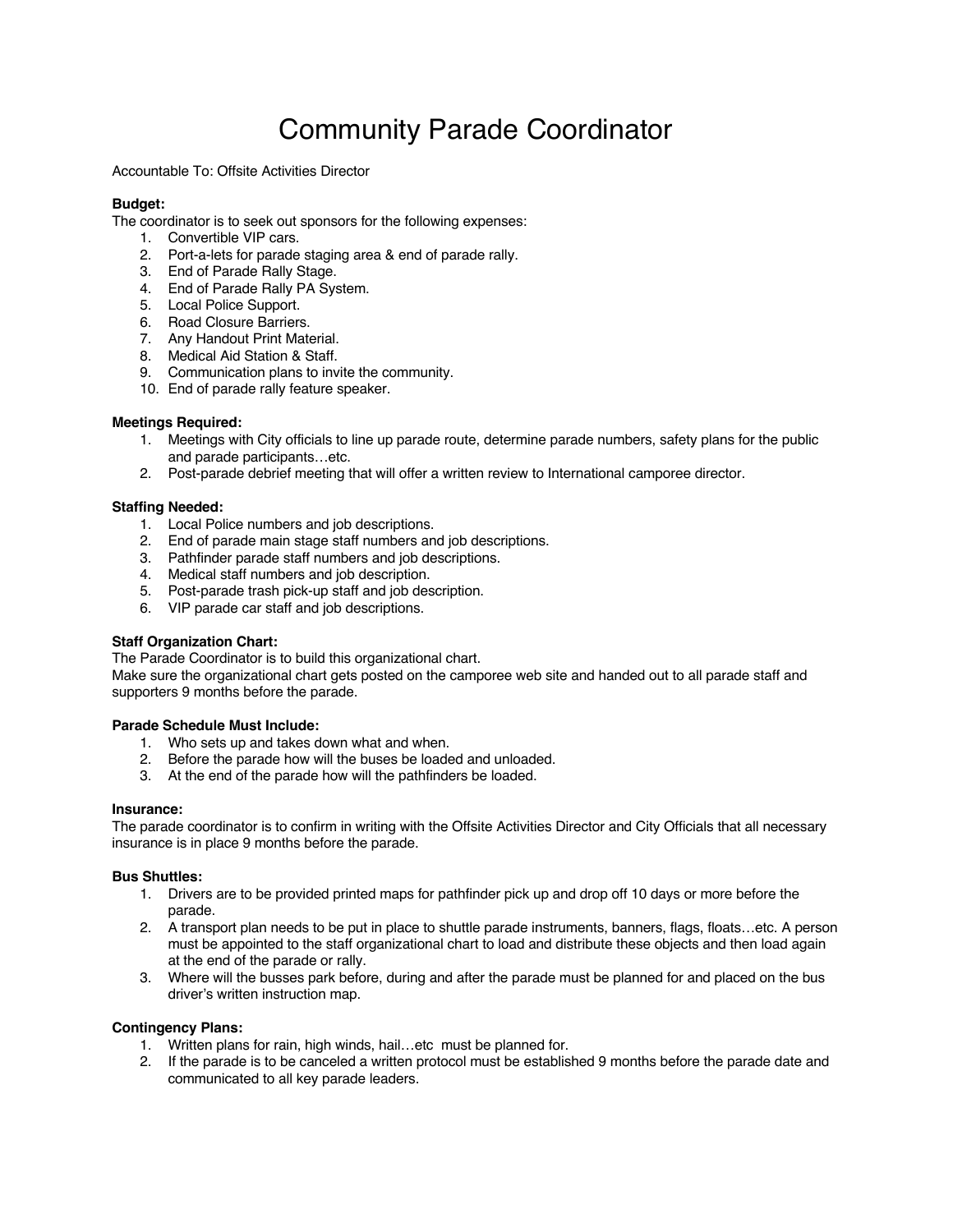# Community Parade Coordinator

Accountable To: Offsite Activities Director

#### **Budget:**

The coordinator is to seek out sponsors for the following expenses:

- 1. Convertible VIP cars.
- 2. Port-a-lets for parade staging area & end of parade rally.
- 3. End of Parade Rally Stage.
- 4. End of Parade Rally PA System.
- 5. Local Police Support.
- 6. Road Closure Barriers.
- 7. Any Handout Print Material.
- 8. Medical Aid Station & Staff.
- 9. Communication plans to invite the community.
- 10. End of parade rally feature speaker.

## **Meetings Required:**

- 1. Meetings with City officials to line up parade route, determine parade numbers, safety plans for the public and parade participants…etc.
- 2. Post-parade debrief meeting that will offer a written review to International camporee director.

## **Staffing Needed:**

- 1. Local Police numbers and job descriptions.
- 2. End of parade main stage staff numbers and job descriptions.
- 3. Pathfinder parade staff numbers and job descriptions.
- 4. Medical staff numbers and job description.
- 5. Post-parade trash pick-up staff and job description.
- 6. VIP parade car staff and job descriptions.

# **Staff Organization Chart:**

The Parade Coordinator is to build this organizational chart.

Make sure the organizational chart gets posted on the camporee web site and handed out to all parade staff and supporters 9 months before the parade.

#### **Parade Schedule Must Include:**

- 1. Who sets up and takes down what and when.
- 2. Before the parade how will the buses be loaded and unloaded.
- 3. At the end of the parade how will the pathfinders be loaded.

#### **Insurance:**

The parade coordinator is to confirm in writing with the Offsite Activities Director and City Officials that all necessary insurance is in place 9 months before the parade.

#### **Bus Shuttles:**

- 1. Drivers are to be provided printed maps for pathfinder pick up and drop off 10 days or more before the parade.
- 2. A transport plan needs to be put in place to shuttle parade instruments, banners, flags, floats…etc. A person must be appointed to the staff organizational chart to load and distribute these objects and then load again at the end of the parade or rally.
- 3. Where will the busses park before, during and after the parade must be planned for and placed on the bus driver's written instruction map.

#### **Contingency Plans:**

- 1. Written plans for rain, high winds, hail...etc must be planned for.
- 2. If the parade is to be canceled a written protocol must be established 9 months before the parade date and communicated to all key parade leaders.